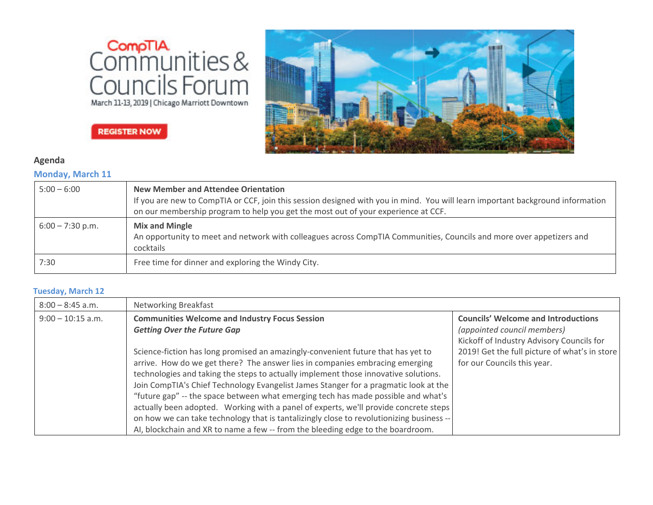



# **REGISTER NOW**

# **Agenda**

### **Monday, March 11**

| $5:00 - 6:00$      | New Member and Attendee Orientation<br>If you are new to CompTIA or CCF, join this session designed with you in mind. You will learn important background information<br>on our membership program to help you get the most out of your experience at CCF. |
|--------------------|------------------------------------------------------------------------------------------------------------------------------------------------------------------------------------------------------------------------------------------------------------|
| $6:00 - 7:30$ p.m. | <b>Mix and Mingle</b><br>An opportunity to meet and network with colleagues across CompTIA Communities, Councils and more over appetizers and<br>cocktails                                                                                                 |
| 7:30               | Free time for dinner and exploring the Windy City.                                                                                                                                                                                                         |

#### **Tuesday, March 12**

| $8:00 - 8:45$ a.m.                                                                   | <b>Networking Breakfast</b>                                                              |                                               |  |
|--------------------------------------------------------------------------------------|------------------------------------------------------------------------------------------|-----------------------------------------------|--|
| $9:00 - 10:15$ a.m.                                                                  | <b>Communities Welcome and Industry Focus Session</b>                                    | <b>Councils' Welcome and Introductions</b>    |  |
| <b>Getting Over the Future Gap</b>                                                   |                                                                                          | (appointed council members)                   |  |
|                                                                                      |                                                                                          | Kickoff of Industry Advisory Councils for     |  |
|                                                                                      | Science-fiction has long promised an amazingly-convenient future that has yet to         | 2019! Get the full picture of what's in store |  |
|                                                                                      | arrive. How do we get there? The answer lies in companies embracing emerging             | for our Councils this year.                   |  |
|                                                                                      | technologies and taking the steps to actually implement those innovative solutions.      |                                               |  |
| Join CompTIA's Chief Technology Evangelist James Stanger for a pragmatic look at the |                                                                                          |                                               |  |
|                                                                                      | "future gap" -- the space between what emerging tech has made possible and what's        |                                               |  |
|                                                                                      | actually been adopted. Working with a panel of experts, we'll provide concrete steps     |                                               |  |
|                                                                                      | on how we can take technology that is tantalizingly close to revolutionizing business -- |                                               |  |
|                                                                                      | AI, blockchain and XR to name a few -- from the bleeding edge to the boardroom.          |                                               |  |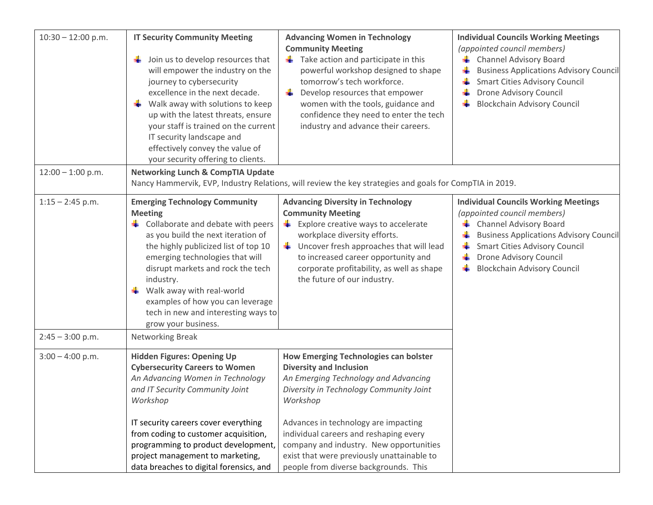| $10:30 - 12:00$ p.m. | <b>IT Security Community Meeting</b><br>$\frac{1}{2}$ Join us to develop resources that<br>will empower the industry on the<br>journey to cybersecurity<br>excellence in the next decade.<br>Walk away with solutions to keep<br>up with the latest threats, ensure<br>your staff is trained on the current<br>IT security landscape and<br>effectively convey the value of<br>your security offering to clients. | <b>Advancing Women in Technology</b><br><b>Community Meeting</b><br>Take action and participate in this<br>۰.<br>powerful workshop designed to shape<br>tomorrow's tech workforce.<br>-∎<br>Develop resources that empower<br>women with the tools, guidance and<br>confidence they need to enter the tech<br>industry and advance their careers.                                                 | <b>Individual Councils Working Meetings</b><br>(appointed council members)<br><b>L</b> Channel Advisory Board<br><b>Business Applications Advisory Council</b><br>۰.<br><b>Smart Cities Advisory Council</b><br>Drone Advisory Council<br><b>Blockchain Advisory Council</b>    |
|----------------------|-------------------------------------------------------------------------------------------------------------------------------------------------------------------------------------------------------------------------------------------------------------------------------------------------------------------------------------------------------------------------------------------------------------------|---------------------------------------------------------------------------------------------------------------------------------------------------------------------------------------------------------------------------------------------------------------------------------------------------------------------------------------------------------------------------------------------------|---------------------------------------------------------------------------------------------------------------------------------------------------------------------------------------------------------------------------------------------------------------------------------|
| $12:00 - 1:00$ p.m.  | <b>Networking Lunch &amp; CompTIA Update</b><br>Nancy Hammervik, EVP, Industry Relations, will review the key strategies and goals for CompTIA in 2019.                                                                                                                                                                                                                                                           |                                                                                                                                                                                                                                                                                                                                                                                                   |                                                                                                                                                                                                                                                                                 |
| $1:15 - 2:45$ p.m.   | <b>Emerging Technology Community</b><br><b>Meeting</b><br>$\frac{1}{2}$ Collaborate and debate with peers<br>as you build the next iteration of<br>the highly publicized list of top 10<br>emerging technologies that will<br>disrupt markets and rock the tech<br>industry.<br>Walk away with real-world<br>examples of how you can leverage<br>tech in new and interesting ways to<br>grow your business.       | <b>Advancing Diversity in Technology</b><br><b>Community Meeting</b><br>$\frac{1}{2}$ Explore creative ways to accelerate<br>workplace diversity efforts.<br>$\frac{1}{2}$ Uncover fresh approaches that will lead<br>to increased career opportunity and<br>corporate profitability, as well as shape<br>the future of our industry.                                                             | <b>Individual Councils Working Meetings</b><br>(appointed council members)<br><b>Channel Advisory Board</b><br>₩.<br><b>Business Applications Advisory Council</b><br><b>Smart Cities Advisory Council</b><br>Drone Advisory Council<br><b>Blockchain Advisory Council</b><br>ਢ |
| $2:45 - 3:00$ p.m.   | Networking Break                                                                                                                                                                                                                                                                                                                                                                                                  |                                                                                                                                                                                                                                                                                                                                                                                                   |                                                                                                                                                                                                                                                                                 |
| $3:00 - 4:00$ p.m.   | <b>Hidden Figures: Opening Up</b><br><b>Cybersecurity Careers to Women</b><br>An Advancing Women in Technology<br>and IT Security Community Joint<br>Workshop<br>IT security careers cover everything<br>from coding to customer acquisition,<br>programming to product development,<br>project management to marketing,<br>data breaches to digital forensics, and                                               | <b>How Emerging Technologies can bolster</b><br><b>Diversity and Inclusion</b><br>An Emerging Technology and Advancing<br>Diversity in Technology Community Joint<br>Workshop<br>Advances in technology are impacting<br>individual careers and reshaping every<br>company and industry. New opportunities<br>exist that were previously unattainable to<br>people from diverse backgrounds. This |                                                                                                                                                                                                                                                                                 |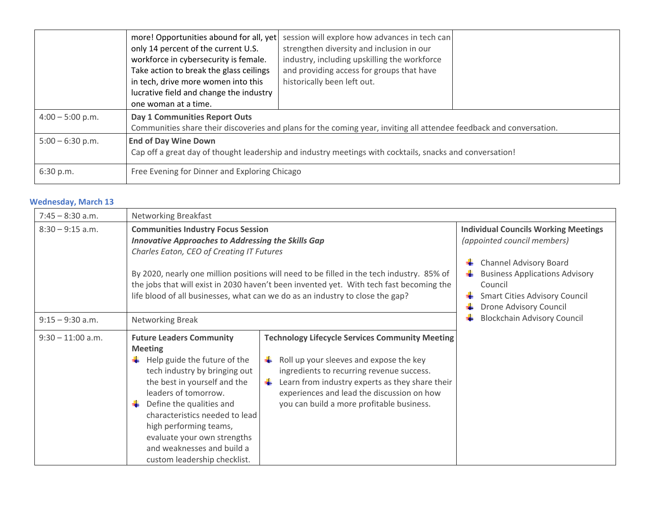|                    | more! Opportunities abound for all, yet<br>only 14 percent of the current U.S.<br>workforce in cybersecurity is female.<br>Take action to break the glass ceilings<br>in tech, drive more women into this<br>lucrative field and change the industry<br>one woman at a time. | session will explore how advances in tech can<br>strengthen diversity and inclusion in our<br>industry, including upskilling the workforce<br>and providing access for groups that have<br>historically been left out. |  |
|--------------------|------------------------------------------------------------------------------------------------------------------------------------------------------------------------------------------------------------------------------------------------------------------------------|------------------------------------------------------------------------------------------------------------------------------------------------------------------------------------------------------------------------|--|
| $4:00 - 5:00$ p.m. | Day 1 Communities Report Outs<br>Communities share their discoveries and plans for the coming year, inviting all attendee feedback and conversation.                                                                                                                         |                                                                                                                                                                                                                        |  |
| $5:00 - 6:30$ p.m. | <b>End of Day Wine Down</b><br>Cap off a great day of thought leadership and industry meetings with cocktails, snacks and conversation!                                                                                                                                      |                                                                                                                                                                                                                        |  |
| 6:30 p.m.          | Free Evening for Dinner and Exploring Chicago                                                                                                                                                                                                                                |                                                                                                                                                                                                                        |  |

# **Wednesday, March 13**

| $7:45 - 8:30$ a.m.  | Networking Breakfast                                                                                                                                                                                                                                                                                                                                                                                                         |                                                                                                                                                                                                                                                                                                   |                                                                                                                                                                                                         |  |
|---------------------|------------------------------------------------------------------------------------------------------------------------------------------------------------------------------------------------------------------------------------------------------------------------------------------------------------------------------------------------------------------------------------------------------------------------------|---------------------------------------------------------------------------------------------------------------------------------------------------------------------------------------------------------------------------------------------------------------------------------------------------|---------------------------------------------------------------------------------------------------------------------------------------------------------------------------------------------------------|--|
| $8:30 - 9:15$ a.m.  | <b>Communities Industry Focus Session</b><br><b>Innovative Approaches to Addressing the Skills Gap</b><br>Charles Eaton, CEO of Creating IT Futures<br>By 2020, nearly one million positions will need to be filled in the tech industry. 85% of<br>the jobs that will exist in 2030 haven't been invented yet. With tech fast becoming the<br>life blood of all businesses, what can we do as an industry to close the gap? |                                                                                                                                                                                                                                                                                                   | <b>Individual Councils Working Meetings</b><br>(appointed council members)<br><b>Channel Advisory Board</b><br><b>Business Applications Advisory</b><br>Council<br><b>Smart Cities Advisory Council</b> |  |
| $9:15 - 9:30$ a.m.  | <b>Networking Break</b>                                                                                                                                                                                                                                                                                                                                                                                                      |                                                                                                                                                                                                                                                                                                   | Drone Advisory Council<br><b>Blockchain Advisory Council</b>                                                                                                                                            |  |
| $9:30 - 11:00$ a.m. | <b>Future Leaders Community</b><br><b>Meeting</b><br>Help guide the future of the<br>tech industry by bringing out<br>the best in yourself and the<br>leaders of tomorrow.<br>Define the qualities and<br>÷<br>characteristics needed to lead<br>high performing teams,<br>evaluate your own strengths<br>and weaknesses and build a<br>custom leadership checklist.                                                         | <b>Technology Lifecycle Services Community Meeting</b><br>Roll up your sleeves and expose the key<br>ingredients to recurring revenue success.<br>Learn from industry experts as they share their<br>÷<br>experiences and lead the discussion on how<br>you can build a more profitable business. |                                                                                                                                                                                                         |  |